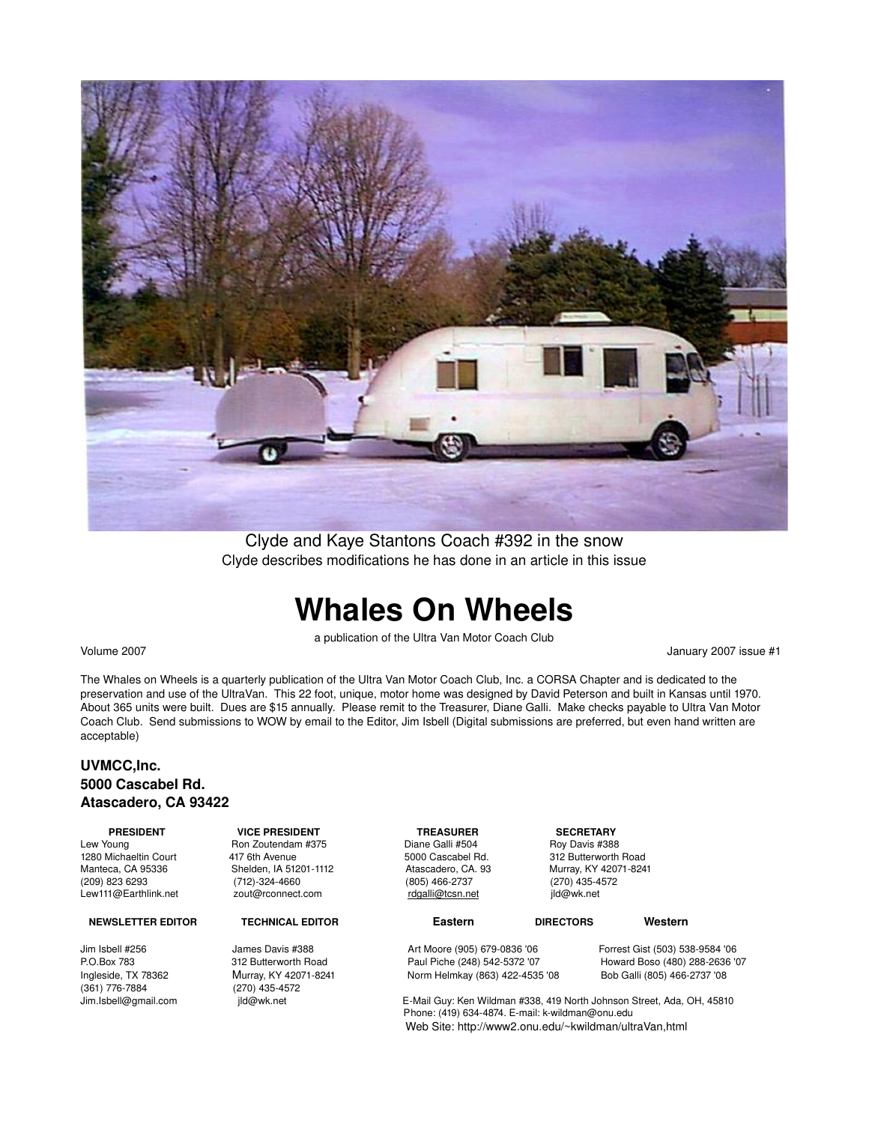

Clyde and Kaye Stantons Coach #392 in the snow Clyde describes modifications he has done in an article in this issue

# **Whales On Wheels**

a publication of the Ultra Van Motor Coach Club

Volume 2007 January 2007 issue #1

The Whales on Wheels is a quarterly publication of the Ultra Van Motor Coach Club, Inc. a CORSA Chapter and is dedicated to the preservation and use of the UltraVan. This 22 foot, unique, motor home was designed by David Peterson and built in Kansas until 1970. About 365 units were built. Dues are \$15 annually. Please remit to the Treasurer, Diane Galli. Make checks payable to Ultra Van Motor Coach Club. Send submissions to WOW by email to the Editor, Jim Isbell (Digital submissions are preferred, but even hand written are acceptable)

### **UVMCC,Inc. 5000 Cascabel Rd. Atascadero, CA 93422**

### **NEWSLETTER EDITOR TECHNICAL EDITOR Eastern DIRECTORS Western**

(361) 7767884 (270) 4354572

  **PRESIDENT VICE PRESIDENT TREASURER SECRETARY** Lew Young Ron Zoutendam #375 Diane Galli #504 Roy Davis #388 1280 Michaeltin Court **117 6th Avenue** 5000 Cascabel Rd. 312 Butterworth Road 12 Butterworth Road<br>1280 Manteca, CA 95336 Shelden, IA 51201-1112 Atascadero, CA. 93 Murray, KY 42071-8241 Manteca, CA 95336 Shelden, IA 512011112 Atascadero, CA. 93 Murray, KY 420718241  $(712)-324-4660$ Lew111@Earthlink.net zout@rconnect.com  [rdgalli@tcsn.net](mailto:rdgalli@tcsn.net)  jld@wk.net

Norm Helmkay (863) 422-4535 '08

Jim Isbell #256 James Davis #388 Art Moore (905) 6790836 '06 Forrest Gist (503) 5389584 '06 P.O.Box 783 312 Butterworth Road Paul Piche (248) 5425372 '07 Howard Boso (480) 2882636 '07

> E-Mail Guy: Ken Wildman #338, 419 North Johnson Street, Ada, OH, 45810 Phone: (419) 634-4874. E-mail: k-wildman@onu.edu Web Site: http://www2.onu.edu/~kwildman/ultraVan,html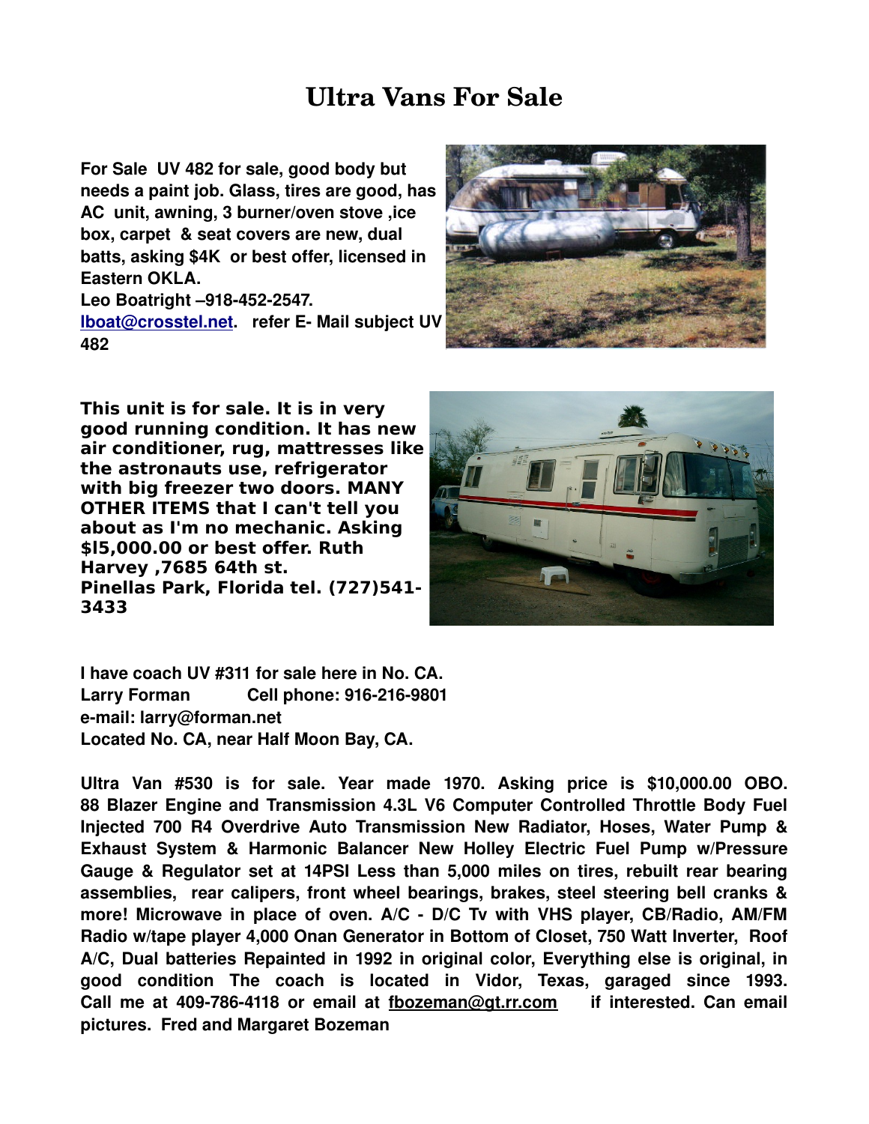## **Ultra Vans For Sale**

**For Sale UV 482 for sale, good body but needs a paint job. Glass, tires are good, has AC unit, awning, 3 burner/oven stove ,ice box, carpet & seat covers are new, dual batts, asking \$4K or best offer, licensed in Eastern OKLA.**

Leo Boatright -918-452-2547. **[lboat@crosstel.net.](mailto:lboat@crosstel.net) refer E- Mail subject UV 482**



**This unit is for sale. It is in very good running condition. It has new air conditioner, rug, mattresses like the astronauts use, refrigerator with big freezer two doors. MANY OTHER ITEMS that I can't tell you about as I'm no mechanic. Asking \$l5,000.00 or best offer. Ruth Harvey ,7685 64th st. Pinellas Park, Florida tel. (727)541- 3433** 



**I have coach UV #311 for sale here in No. CA. Larry Forman Cell phone: 9162169801 email: larry@forman.net Located No. CA, near Half Moon Bay, CA.**

**Ultra Van #530 is for sale. Year made 1970. Asking price is \$10,000.00 OBO. 88 Blazer Engine and Transmission 4.3L V6 Computer Controlled Throttle Body Fuel Injected 700 R4 Overdrive Auto Transmission New Radiator, Hoses, Water Pump & Exhaust System & Harmonic Balancer New Holley Electric Fuel Pump w/Pressure Gauge & Regulator set at 14PSI Less than 5,000 miles on tires, rebuilt rear bearing assemblies, rear calipers, front wheel bearings, brakes, steel steering bell cranks & more! Microwave in place of oven. A/C D/C Tv with VHS player, CB/Radio, AM/FM Radio w/tape player 4,000 Onan Generator in Bottom of Closet, 750 Watt Inverter, Roof A/C, Dual batteries Repainted in 1992 in original color, Everything else is original, in good condition The coach is located in Vidor, Texas, garaged since 1993. Call me at 4097864118 or email at [fbozeman@gt.rr.com](mailto:fbozeman@gt.rr.com) if interested. Can email pictures. Fred and Margaret Bozeman**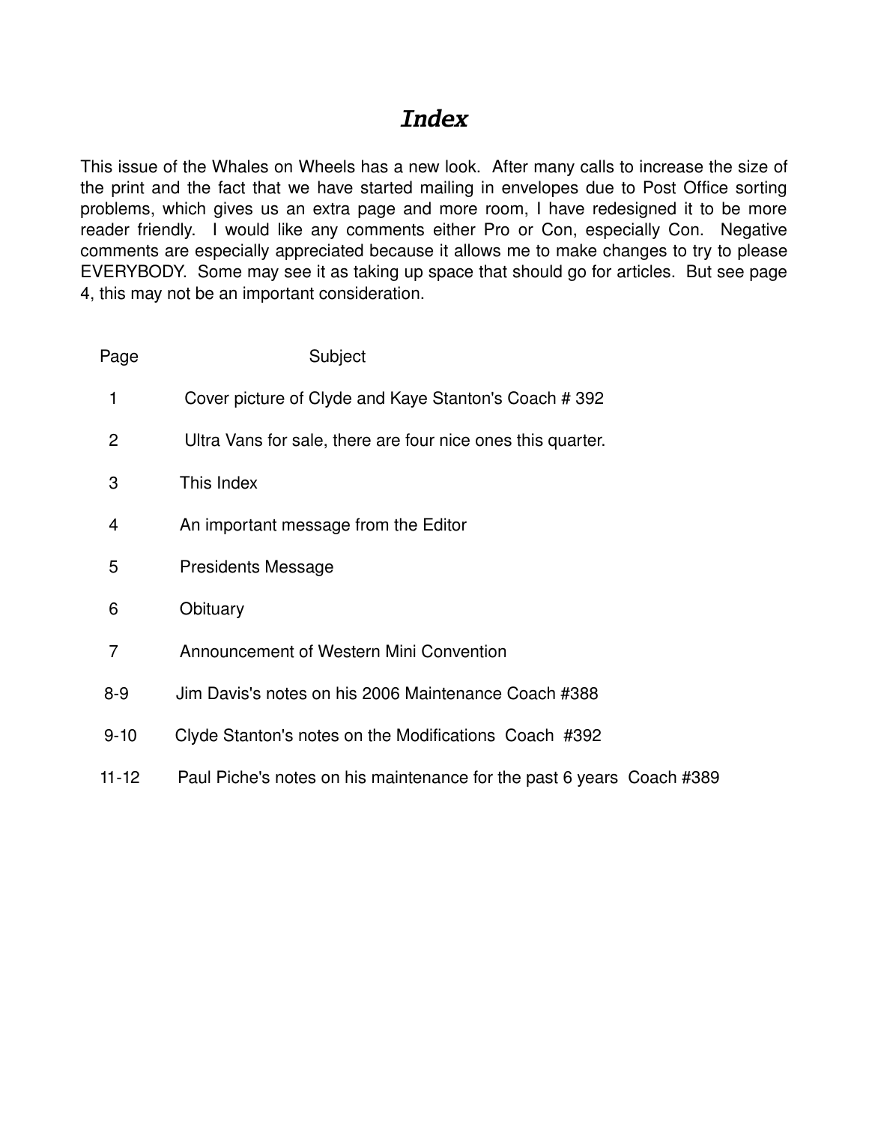## *Index*

This issue of the Whales on Wheels has a new look. After many calls to increase the size of the print and the fact that we have started mailing in envelopes due to Post Office sorting problems, which gives us an extra page and more room, I have redesigned it to be more reader friendly. I would like any comments either Pro or Con, especially Con. Negative comments are especially appreciated because it allows me to make changes to try to please EVERYBODY. Some may see it as taking up space that should go for articles. But see page 4, this may not be an important consideration.

| Page           | Subject                                                               |
|----------------|-----------------------------------------------------------------------|
| 1              | Cover picture of Clyde and Kaye Stanton's Coach # 392                 |
| 2              | Ultra Vans for sale, there are four nice ones this quarter.           |
| 3              | This Index                                                            |
| $\overline{4}$ | An important message from the Editor                                  |
| 5              | <b>Presidents Message</b>                                             |
| 6              | Obituary                                                              |
| 7              | Announcement of Western Mini Convention                               |
| $8 - 9$        | Jim Davis's notes on his 2006 Maintenance Coach #388                  |
| $9 - 10$       | Clyde Stanton's notes on the Modifications Coach #392                 |
| $11 - 12$      | Paul Piche's notes on his maintenance for the past 6 years Coach #389 |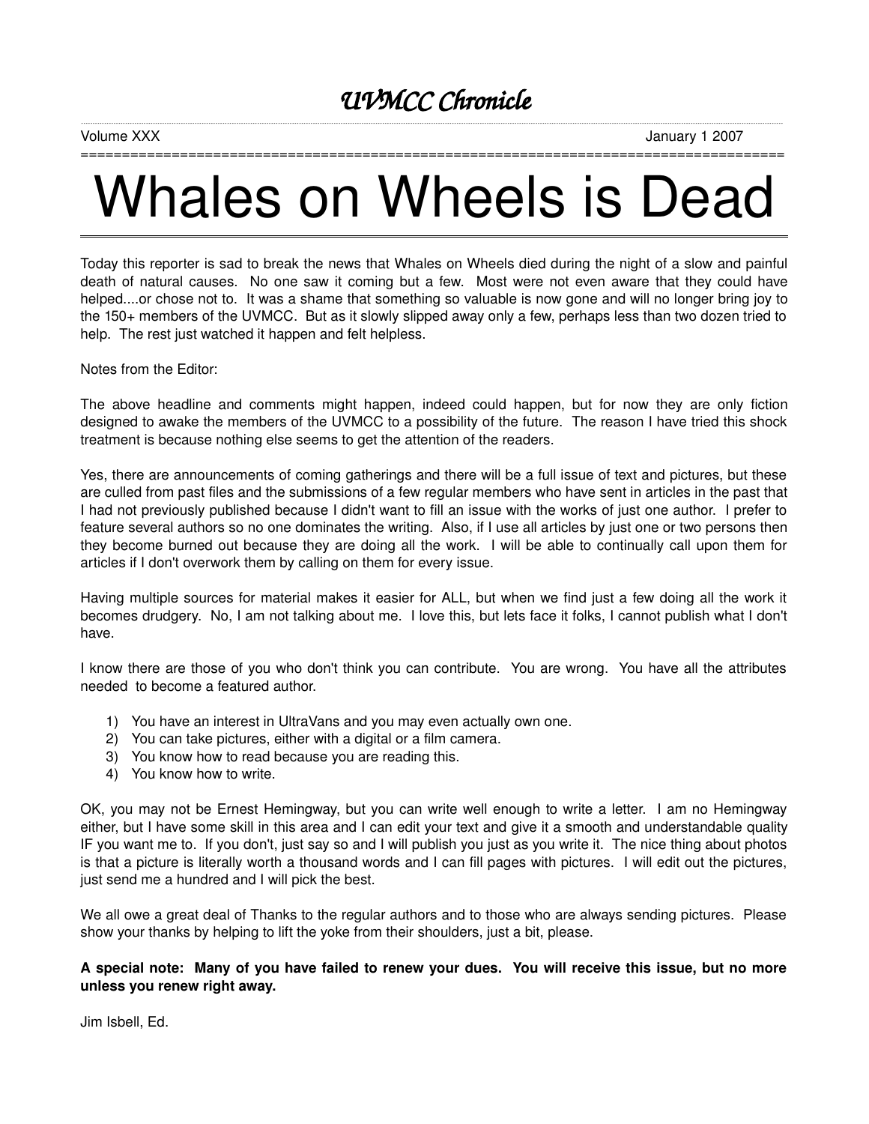### *UVMCC Chronicle*

===================

Volume XXX January 1 2007

# Whales on Wheels is Dead

Today this reporter is sad to break the news that Whales on Wheels died during the night of a slow and painful death of natural causes. No one saw it coming but a few. Most were not even aware that they could have helped....or chose not to. It was a shame that something so valuable is now gone and will no longer bring joy to the 150+ members of the UVMCC. But as it slowly slipped away only a few, perhaps less than two dozen tried to help. The rest just watched it happen and felt helpless.

Notes from the Editor:

The above headline and comments might happen, indeed could happen, but for now they are only fiction designed to awake the members of the UVMCC to a possibility of the future. The reason I have tried this shock treatment is because nothing else seems to get the attention of the readers.

Yes, there are announcements of coming gatherings and there will be a full issue of text and pictures, but these are culled from past files and the submissions of a few regular members who have sent in articles in the past that I had not previously published because I didn't want to fill an issue with the works of just one author. I prefer to feature several authors so no one dominates the writing. Also, if I use all articles by just one or two persons then they become burned out because they are doing all the work. I will be able to continually call upon them for articles if I don't overwork them by calling on them for every issue.

Having multiple sources for material makes it easier for ALL, but when we find just a few doing all the work it becomes drudgery. No, I am not talking about me. I love this, but lets face it folks, I cannot publish what I don't have.

I know there are those of you who don't think you can contribute. You are wrong. You have all the attributes needed to become a featured author.

- 1) You have an interest in UltraVans and you may even actually own one.
- 2) You can take pictures, either with a digital or a film camera.
- 3) You know how to read because you are reading this.
- 4) You know how to write.

OK, you may not be Ernest Hemingway, but you can write well enough to write a letter. I am no Hemingway either, but I have some skill in this area and I can edit your text and give it a smooth and understandable quality IF you want me to. If you don't, just say so and I will publish you just as you write it. The nice thing about photos is that a picture is literally worth a thousand words and I can fill pages with pictures. I will edit out the pictures, just send me a hundred and I will pick the best.

We all owe a great deal of Thanks to the regular authors and to those who are always sending pictures. Please show your thanks by helping to lift the yoke from their shoulders, just a bit, please.

### A special note: Many of you have failed to renew your dues. You will receive this issue, but no more **unless you renew right away.**

Jim Isbell, Ed.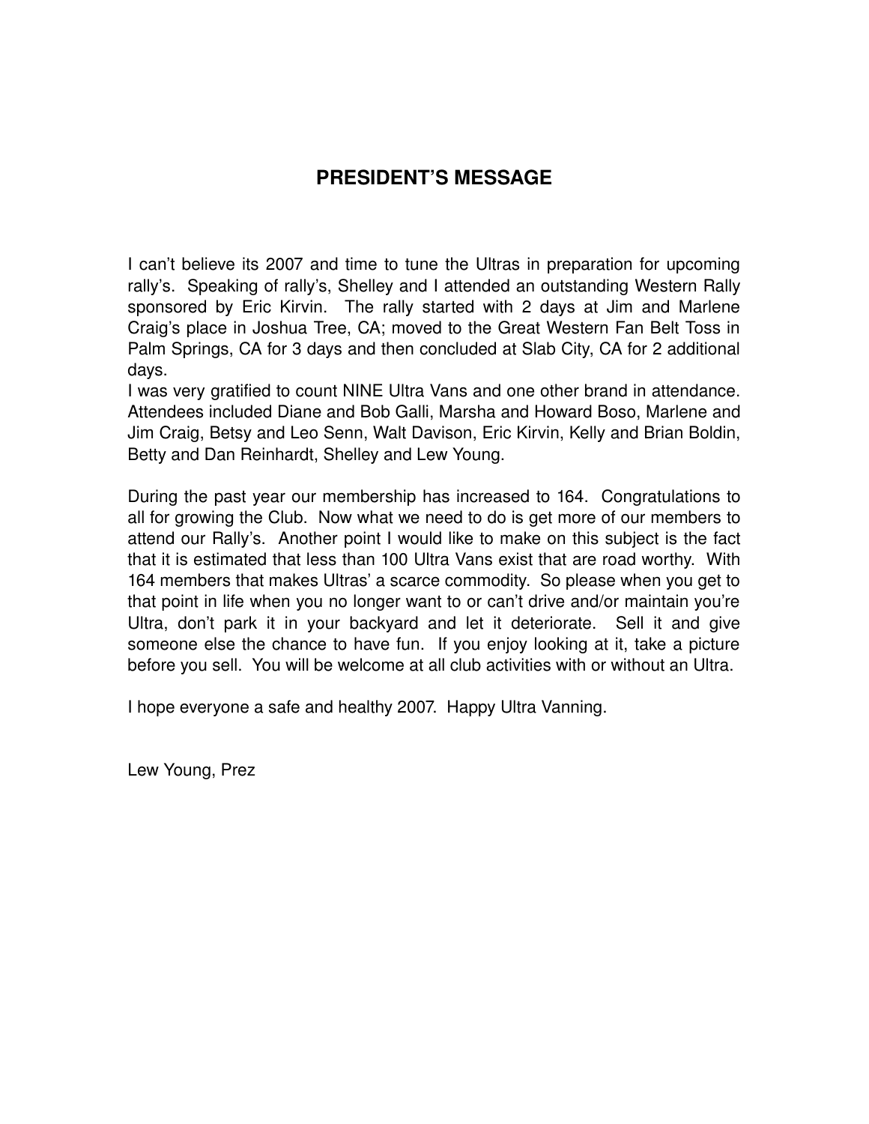## **PRESIDENT'S MESSAGE**

I can't believe its 2007 and time to tune the Ultras in preparation for upcoming rally's. Speaking of rally's, Shelley and I attended an outstanding Western Rally sponsored by Eric Kirvin. The rally started with 2 days at Jim and Marlene Craig's place in Joshua Tree, CA; moved to the Great Western Fan Belt Toss in Palm Springs, CA for 3 days and then concluded at Slab City, CA for 2 additional days.

I was very gratified to count NINE Ultra Vans and one other brand in attendance. Attendees included Diane and Bob Galli, Marsha and Howard Boso, Marlene and Jim Craig, Betsy and Leo Senn, Walt Davison, Eric Kirvin, Kelly and Brian Boldin, Betty and Dan Reinhardt, Shelley and Lew Young.

During the past year our membership has increased to 164. Congratulations to all for growing the Club. Now what we need to do is get more of our members to attend our Rally's. Another point I would like to make on this subject is the fact that it is estimated that less than 100 Ultra Vans exist that are road worthy. With 164 members that makes Ultras' a scarce commodity. So please when you get to that point in life when you no longer want to or can't drive and/or maintain you're Ultra, don't park it in your backyard and let it deteriorate. Sell it and give someone else the chance to have fun. If you enjoy looking at it, take a picture before you sell. You will be welcome at all club activities with or without an Ultra.

I hope everyone a safe and healthy 2007. Happy Ultra Vanning.

Lew Young, Prez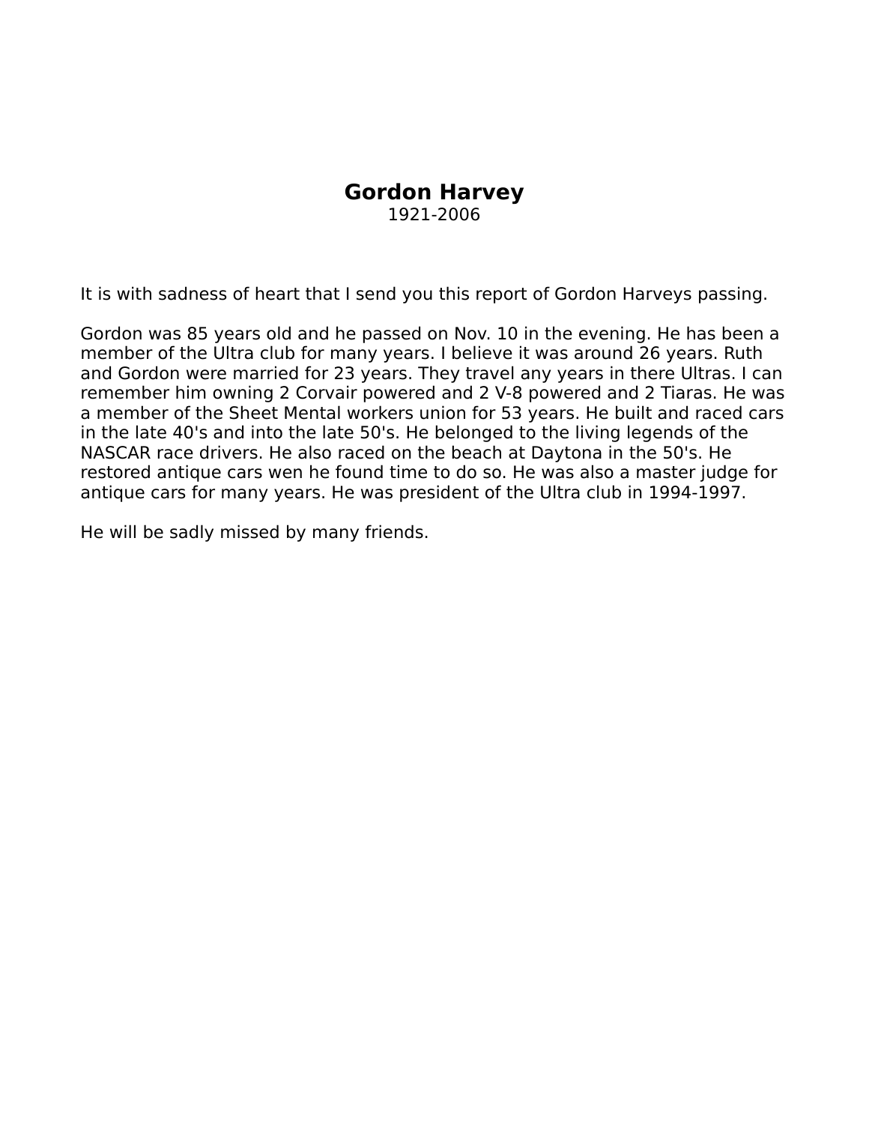## **Gordon Harvey**

1921-2006

It is with sadness of heart that I send you this report of Gordon Harveys passing.

Gordon was 85 years old and he passed on Nov. 10 in the evening. He has been a member of the Ultra club for many years. I believe it was around 26 years. Ruth and Gordon were married for 23 years. They travel any years in there Ultras. I can remember him owning 2 Corvair powered and 2 V-8 powered and 2 Tiaras. He was a member of the Sheet Mental workers union for 53 years. He built and raced cars in the late 40's and into the late 50's. He belonged to the living legends of the NASCAR race drivers. He also raced on the beach at Daytona in the 50's. He restored antique cars wen he found time to do so. He was also a master judge for antique cars for many years. He was president of the Ultra club in 1994-1997.

He will be sadly missed by many friends.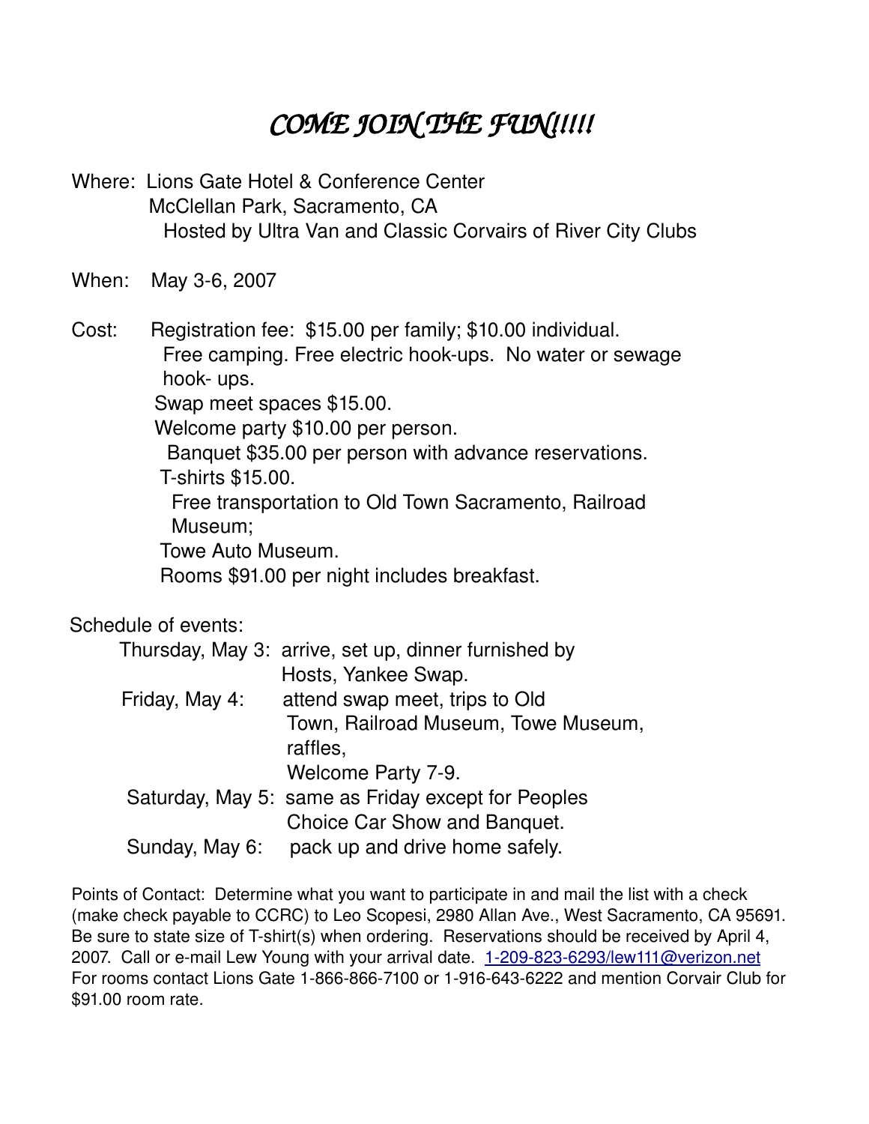# *COME JOIN THE FUN!!!!!*

Where: Lions Gate Hotel & Conference Center McClellan Park, Sacramento, CA Hosted by Ultra Van and Classic Corvairs of River City Clubs

When: May 3-6, 2007

Cost: Registration fee: \$15.00 per family; \$10.00 individual. Free camping. Free electric hook-ups. No water or sewage hook- ups. Swap meet spaces \$15.00. Welcome party \$10.00 per person.

Banquet \$35.00 per person with advance reservations.

**T-shirts \$15.00.** 

Free transportation to Old Town Sacramento, Railroad Museum;

Towe Auto Museum.

Rooms \$91.00 per night includes breakfast.

Schedule of events:

|                | Thursday, May 3: arrive, set up, dinner furnished by |
|----------------|------------------------------------------------------|
|                | Hosts, Yankee Swap.                                  |
| Friday, May 4: | attend swap meet, trips to Old                       |
|                | Town, Railroad Museum, Towe Museum,                  |
|                | raffles,                                             |
|                | Welcome Party 7-9.                                   |
|                | Saturday, May 5: same as Friday except for Peoples   |
|                | Choice Car Show and Banquet.                         |
| Sunday, May 6: | pack up and drive home safely.                       |

Points of Contact: Determine what you want to participate in and mail the list with a check (make check payable to CCRC) to Leo Scopesi, 2980 Allan Ave., West Sacramento, CA 95691. Be sure to state size of T-shirt(s) when ordering. Reservations should be received by April 4, 2007. Call or e-mail Lew Young with your arrival date. 1-209-823-6293/lew111@verizon.net For rooms contact Lions Gate 1-866-866-7100 or 1-916-643-6222 and mention Corvair Club for \$91.00 room rate.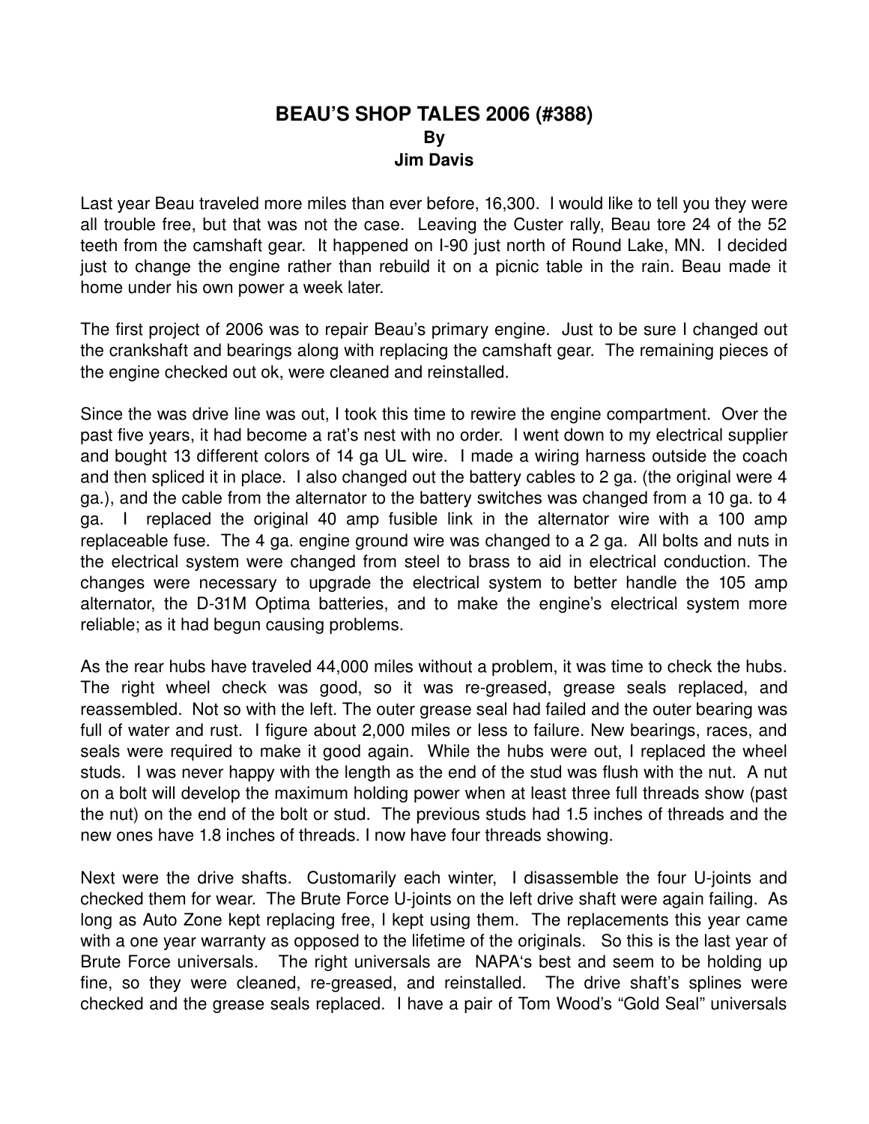### **BEAU'S SHOP TALES 2006 (#388) By Jim Davis**

Last year Beau traveled more miles than ever before, 16,300. I would like to tell you they were all trouble free, but that was not the case. Leaving the Custer rally, Beau tore 24 of the 52 teeth from the camshaft gear. It happened on I-90 just north of Round Lake, MN. I decided just to change the engine rather than rebuild it on a picnic table in the rain. Beau made it home under his own power a week later.

The first project of 2006 was to repair Beau's primary engine. Just to be sure I changed out the crankshaft and bearings along with replacing the camshaft gear. The remaining pieces of the engine checked out ok, were cleaned and reinstalled.

Since the was drive line was out, I took this time to rewire the engine compartment. Over the past five years, it had become a rat's nest with no order. I went down to my electrical supplier and bought 13 different colors of 14 ga UL wire. I made a wiring harness outside the coach and then spliced it in place. I also changed out the battery cables to 2 ga. (the original were 4 ga.), and the cable from the alternator to the battery switches was changed from a 10 ga. to 4 ga. I replaced the original 40 amp fusible link in the alternator wire with a 100 amp replaceable fuse. The 4 ga. engine ground wire was changed to a 2 ga. All bolts and nuts in the electrical system were changed from steel to brass to aid in electrical conduction. The changes were necessary to upgrade the electrical system to better handle the 105 amp alternator, the D-31M Optima batteries, and to make the engine's electrical system more reliable; as it had begun causing problems.

As the rear hubs have traveled 44,000 miles without a problem, it was time to check the hubs. The right wheel check was good, so it was re-greased, grease seals replaced, and reassembled. Not so with the left. The outer grease seal had failed and the outer bearing was full of water and rust. I figure about 2,000 miles or less to failure. New bearings, races, and seals were required to make it good again. While the hubs were out, I replaced the wheel studs. I was never happy with the length as the end of the stud was flush with the nut. A nut on a bolt will develop the maximum holding power when at least three full threads show (past the nut) on the end of the bolt or stud. The previous studs had 1.5 inches of threads and the new ones have 1.8 inches of threads. I now have four threads showing.

Next were the drive shafts. Customarily each winter, I disassemble the four U-joints and checked them for wear. The Brute Force U-joints on the left drive shaft were again failing. As long as Auto Zone kept replacing free, I kept using them. The replacements this year came with a one year warranty as opposed to the lifetime of the originals. So this is the last year of Brute Force universals. The right universals are NAPA's best and seem to be holding up fine, so they were cleaned, re-greased, and reinstalled. The drive shaft's splines were checked and the grease seals replaced. I have a pair of Tom Wood's "Gold Seal" universals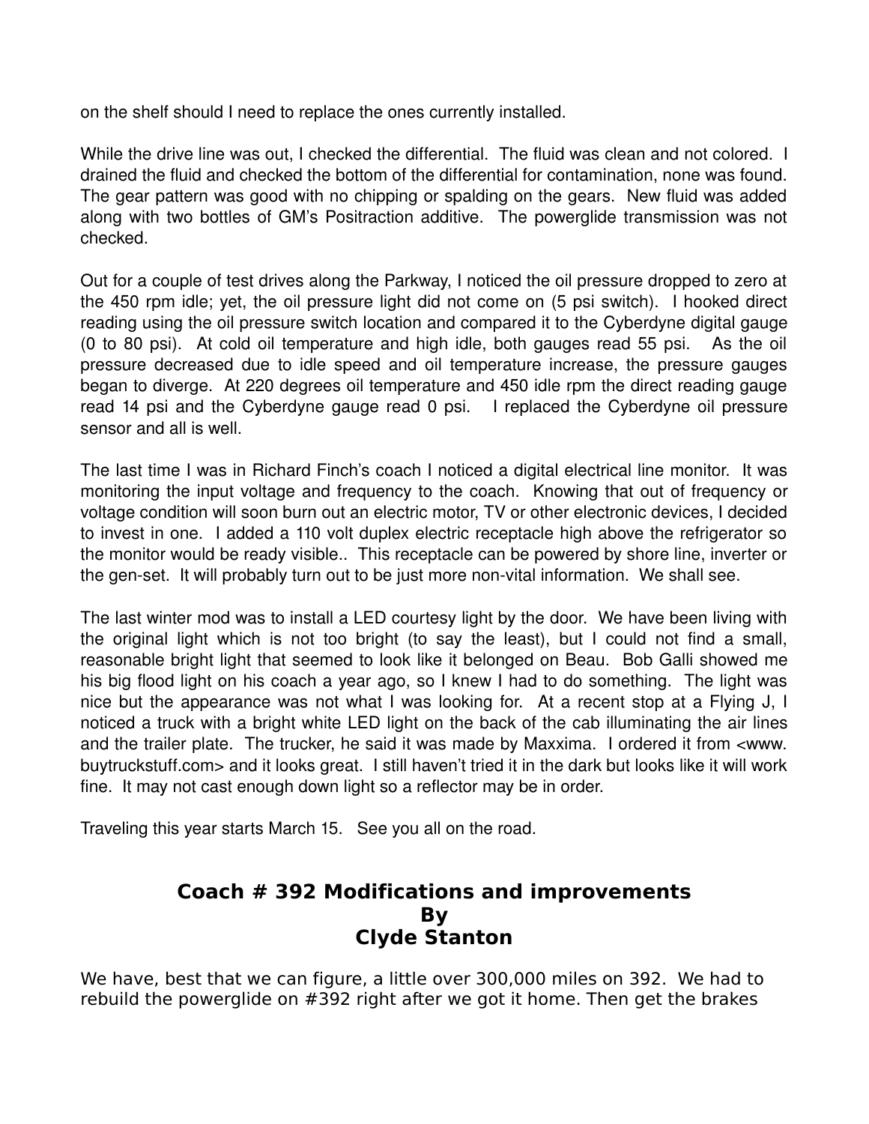on the shelf should I need to replace the ones currently installed.

While the drive line was out, I checked the differential. The fluid was clean and not colored. I drained the fluid and checked the bottom of the differential for contamination, none was found. The gear pattern was good with no chipping or spalding on the gears. New fluid was added along with two bottles of GM's Positraction additive. The powerglide transmission was not checked.

Out for a couple of test drives along the Parkway, I noticed the oil pressure dropped to zero at the 450 rpm idle; yet, the oil pressure light did not come on (5 psi switch). I hooked direct reading using the oil pressure switch location and compared it to the Cyberdyne digital gauge (0 to 80 psi). At cold oil temperature and high idle, both gauges read 55 psi. As the oil pressure decreased due to idle speed and oil temperature increase, the pressure gauges began to diverge. At 220 degrees oil temperature and 450 idle rpm the direct reading gauge read 14 psi and the Cyberdyne gauge read 0 psi. I replaced the Cyberdyne oil pressure sensor and all is well.

The last time I was in Richard Finch's coach I noticed a digital electrical line monitor. It was monitoring the input voltage and frequency to the coach. Knowing that out of frequency or voltage condition will soon burn out an electric motor, TV or other electronic devices, I decided to invest in one. I added a 110 volt duplex electric receptacle high above the refrigerator so the monitor would be ready visible.. This receptacle can be powered by shore line, inverter or the gen-set. It will probably turn out to be just more non-vital information. We shall see.

The last winter mod was to install a LED courtesy light by the door. We have been living with the original light which is not too bright (to say the least), but I could not find a small, reasonable bright light that seemed to look like it belonged on Beau. Bob Galli showed me his big flood light on his coach a year ago, so I knew I had to do something. The light was nice but the appearance was not what I was looking for. At a recent stop at a Flying J, I noticed a truck with a bright white LED light on the back of the cab illuminating the air lines and the trailer plate. The trucker, he said it was made by Maxxima. I ordered it from <www. buytruckstuff.com> and it looks great. I still haven't tried it in the dark but looks like it will work fine. It may not cast enough down light so a reflector may be in order.

Traveling this year starts March 15. See you all on the road.

## **Coach # 392 Modifications and improvements By Clyde Stanton**

We have, best that we can figure, a little over 300,000 miles on 392. We had to rebuild the powerglide on #392 right after we got it home. Then get the brakes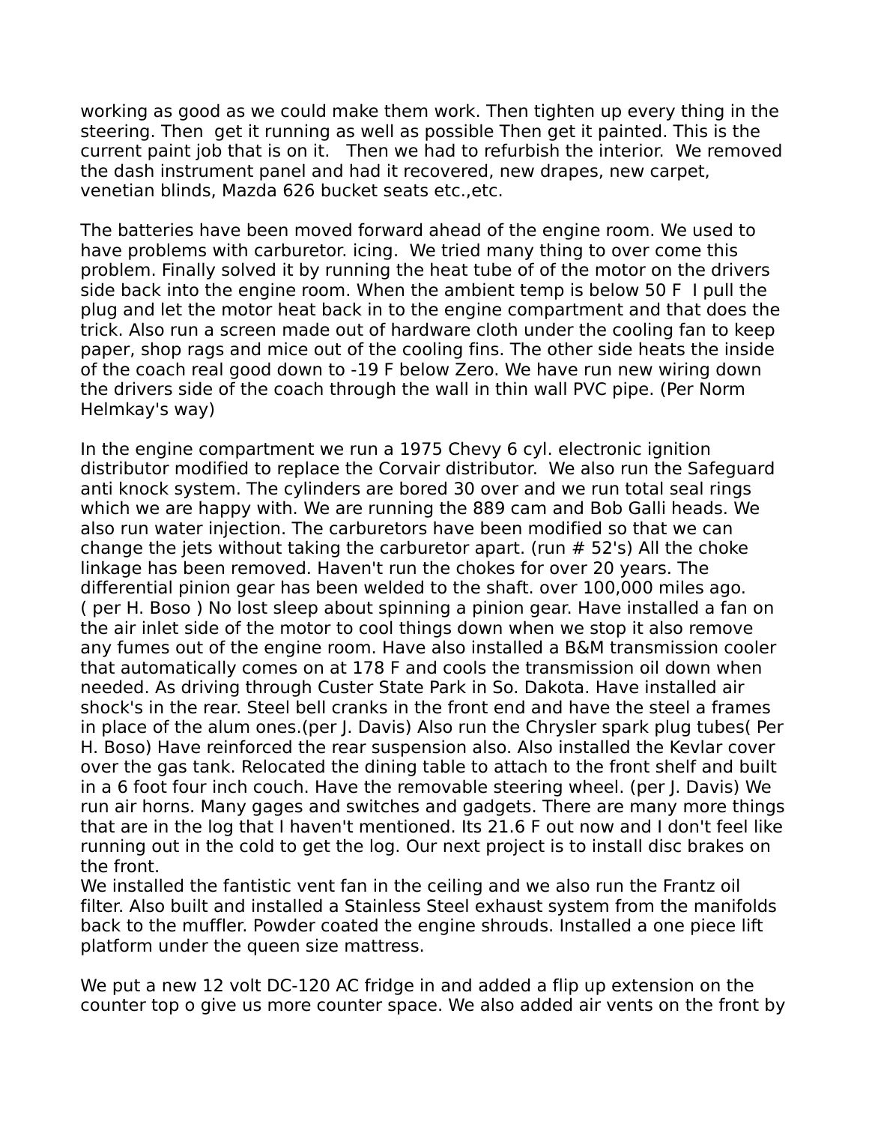working as good as we could make them work. Then tighten up every thing in the steering. Then get it running as well as possible Then get it painted. This is the current paint job that is on it. Then we had to refurbish the interior. We removed the dash instrument panel and had it recovered, new drapes, new carpet, venetian blinds, Mazda 626 bucket seats etc.,etc.

The batteries have been moved forward ahead of the engine room. We used to have problems with carburetor. icing. We tried many thing to over come this problem. Finally solved it by running the heat tube of of the motor on the drivers side back into the engine room. When the ambient temp is below 50 F I pull the plug and let the motor heat back in to the engine compartment and that does the trick. Also run a screen made out of hardware cloth under the cooling fan to keep paper, shop rags and mice out of the cooling fins. The other side heats the inside of the coach real good down to -19 F below Zero. We have run new wiring down the drivers side of the coach through the wall in thin wall PVC pipe. (Per Norm Helmkay's way)

In the engine compartment we run a 1975 Chevy 6 cyl. electronic ignition distributor modified to replace the Corvair distributor. We also run the Safeguard anti knock system. The cylinders are bored 30 over and we run total seal rings which we are happy with. We are running the 889 cam and Bob Galli heads. We also run water injection. The carburetors have been modified so that we can change the jets without taking the carburetor apart. (run # 52's) All the choke linkage has been removed. Haven't run the chokes for over 20 years. The differential pinion gear has been welded to the shaft. over 100,000 miles ago. ( per H. Boso ) No lost sleep about spinning a pinion gear. Have installed a fan on the air inlet side of the motor to cool things down when we stop it also remove any fumes out of the engine room. Have also installed a B&M transmission cooler that automatically comes on at 178 F and cools the transmission oil down when needed. As driving through Custer State Park in So. Dakota. Have installed air shock's in the rear. Steel bell cranks in the front end and have the steel a frames in place of the alum ones.(per J. Davis) Also run the Chrysler spark plug tubes( Per H. Boso) Have reinforced the rear suspension also. Also installed the Kevlar cover over the gas tank. Relocated the dining table to attach to the front shelf and built in a 6 foot four inch couch. Have the removable steering wheel. (per J. Davis) We run air horns. Many gages and switches and gadgets. There are many more things that are in the log that I haven't mentioned. Its 21.6 F out now and I don't feel like running out in the cold to get the log. Our next project is to install disc brakes on the front.

We installed the fantistic vent fan in the ceiling and we also run the Frantz oil filter. Also built and installed a Stainless Steel exhaust system from the manifolds back to the muffler. Powder coated the engine shrouds. Installed a one piece lift platform under the queen size mattress.

We put a new 12 volt DC-120 AC fridge in and added a flip up extension on the counter top o give us more counter space. We also added air vents on the front by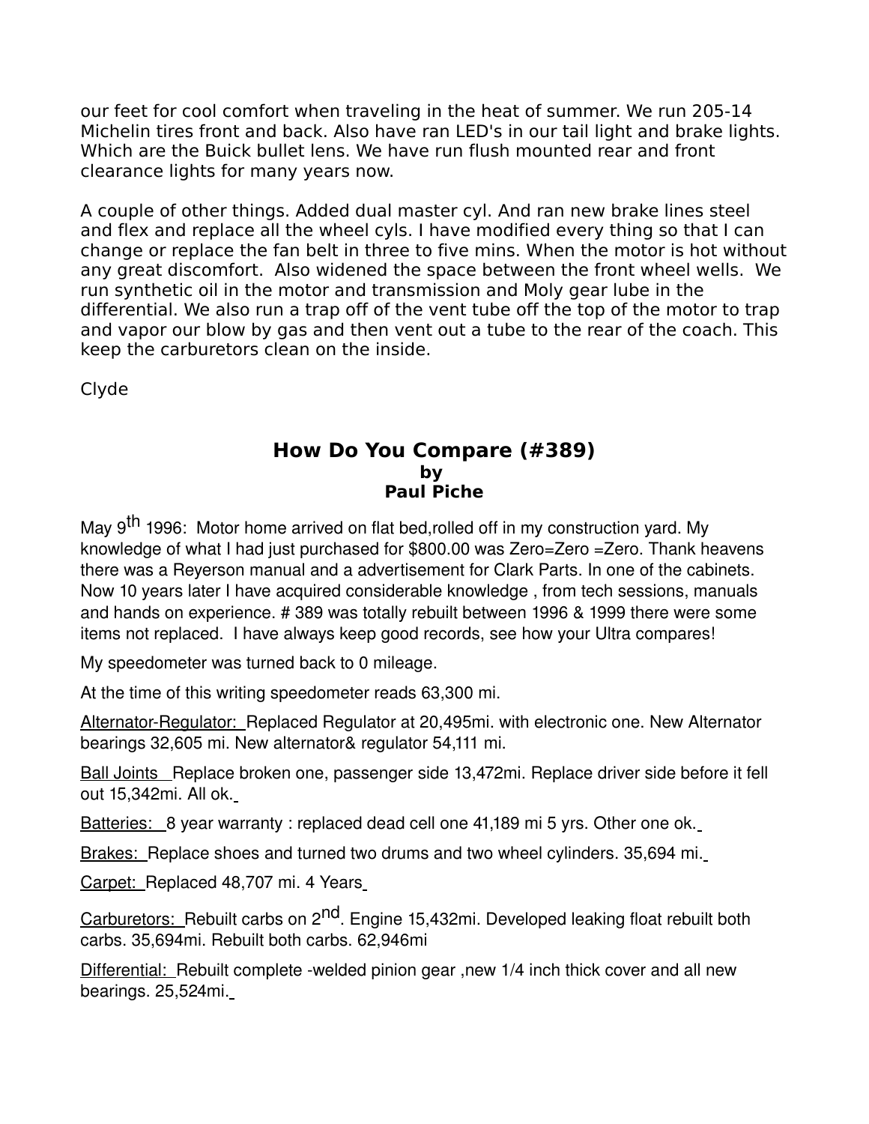our feet for cool comfort when traveling in the heat of summer. We run 205-14 Michelin tires front and back. Also have ran LED's in our tail light and brake lights. Which are the Buick bullet lens. We have run flush mounted rear and front clearance lights for many years now.

A couple of other things. Added dual master cyl. And ran new brake lines steel and flex and replace all the wheel cyls. I have modified every thing so that I can change or replace the fan belt in three to five mins. When the motor is hot without any great discomfort. Also widened the space between the front wheel wells. We run synthetic oil in the motor and transmission and Moly gear lube in the differential. We also run a trap off of the vent tube off the top of the motor to trap and vapor our blow by gas and then vent out a tube to the rear of the coach. This keep the carburetors clean on the inside.

Clyde

### **How Do You Compare (#389) by Paul Piche**

May 9<sup>th</sup> 1996: Motor home arrived on flat bed,rolled off in my construction yard. My knowledge of what I had just purchased for \$800.00 was Zero=Zero =Zero. Thank heavens there was a Reyerson manual and a advertisement for Clark Parts. In one of the cabinets. Now 10 years later I have acquired considerable knowledge , from tech sessions, manuals and hands on experience. # 389 was totally rebuilt between 1996 & 1999 there were some items not replaced. I have always keep good records, see how your Ultra compares!

My speedometer was turned back to 0 mileage.

At the time of this writing speedometer reads 63,300 mi.

Alternator-Regulator: Replaced Regulator at 20,495mi. with electronic one. New Alternator bearings 32,605 mi. New alternator& regulator 54,111 mi.

Ball Joints Replace broken one, passenger side 13,472mi. Replace driver side before it fell out 15,342mi. All ok.

Batteries: 8 year warranty : replaced dead cell one 41,189 mi 5 yrs. Other one ok.

Brakes: Replace shoes and turned two drums and two wheel cylinders. 35,694 mi.

Carpet: Replaced 48,707 mi. 4 Years

Carburetors: Rebuilt carbs on 2<sup>nd</sup>. Engine 15,432mi. Developed leaking float rebuilt both carbs. 35,694mi. Rebuilt both carbs. 62,946mi

Differential: Rebuilt complete -welded pinion gear, new 1/4 inch thick cover and all new bearings. 25,524mi.